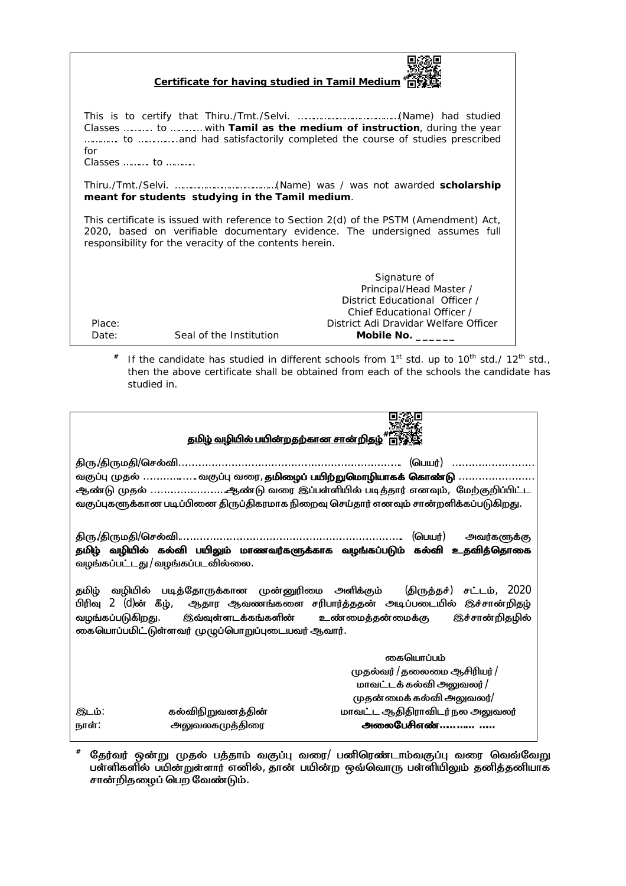| Certificate for having studied in Tamil Medium <sup>#</sup>                                                                                                                                                                       |                         |                                                                                                                                                                 |  |  |
|-----------------------------------------------------------------------------------------------------------------------------------------------------------------------------------------------------------------------------------|-------------------------|-----------------------------------------------------------------------------------------------------------------------------------------------------------------|--|--|
| for<br>Classes  to                                                                                                                                                                                                                |                         | Classes  to  with Tamil as the medium of instruction, during the year<br>to measure and had satisfactorily completed the course of studies prescribed           |  |  |
| meant for students studying in the Tamil medium.                                                                                                                                                                                  |                         |                                                                                                                                                                 |  |  |
| This certificate is issued with reference to Section 2(d) of the PSTM (Amendment) Act,<br>2020, based on verifiable documentary evidence. The undersigned assumes full<br>responsibility for the veracity of the contents herein. |                         |                                                                                                                                                                 |  |  |
| Place:<br>Date:                                                                                                                                                                                                                   | Seal of the Institution | Signature of<br>Principal/Head Master /<br>District Educational Officer /<br>Chief Educational Officer /<br>District Adi Dravidar Welfare Officer<br>Mobile No. |  |  |

**#** *If the candidate has studied in different schools from 1<sup>st</sup> std. up to 10<sup>th</sup> std./ 12<sup>th</sup> std., then the above certificate shall be obtained from each of the schools the candidate has studied in.*

| தமிழ் வழியில் பயின்றதற்கான சான்றிதழ் "ொரு                                                                                                                                                                                                                     |                                                                               |  |  |  |
|---------------------------------------------------------------------------------------------------------------------------------------------------------------------------------------------------------------------------------------------------------------|-------------------------------------------------------------------------------|--|--|--|
| வகுப்பு முதல் …………………… வகுப்பு வரை, <mark>தமிழைப் பயிற்றுமொழியாகக் கொண்டு</mark> ……………………………<br>ஆண்டு முதல் ஆண்டு வரை இப்பள்ளியில் படித்தார் எனவும்,  மேற்குறிப்பிட்ட<br>வகுப்புகளுக்கான படிப்பினை திருப்திகரமாக நிறைவு செய்தார் எனவும் சான்றளிக்கப்படுகிறது. |                                                                               |  |  |  |
| திரு.⁄திருமதி/செல்வி… <i>…………………………………………………………………………………</i> (பெயர்)<br><b>அவர்களுக்கு</b><br>தமிழ் வழியில் கல்வி பயிலும் மாணவர்களுக்காக வழங்கப்படும் கல்வி உதவித்தொகை<br>வழங்கப்பட்டது /வழங்கப்படவில்லை.                                                     |                                                                               |  |  |  |
| தமிழ் வழியில் படித்தோருக்கான முன்னுரிமை அளிக்கும் <i>(</i> திருத்தச்) சட்டம், <i>2020</i><br>வழங்கப்படுகிறது. இவ்வுள்ளடக்கங்களின் உண்மைத்தன்மைக்கு இச்சான்றிதழில்<br>கையொப்பமிட்டுள்ளவர் முழுப்பொறுப்புடையவர் ஆவார்.                                          |                                                                               |  |  |  |
|                                                                                                                                                                                                                                                               | கையொப்பம்<br>முதல்வர் /தலைமை ஆசிரியர் /<br>மாவட்டக் கல்வி அலுவலர் /           |  |  |  |
| கல்விநிறுவனத்தின்<br>இடம்.<br>அலுவலகமுத்திரை<br>நாள்∶                                                                                                                                                                                                         | முதன்மைக்கல்வி அலுவலர்/<br>மாவட்ட ஆதிதிராவிடர்நல அலுவலர்<br><u>அலைபேசிஎண்</u> |  |  |  |

 $^{\#}$  தேர்வர் ஒன்று முதல் பத்தாம் வகுப்பு வரை/ பனிரெண்டாம்வகுப்பு வரை வெவ்வேறு பள்ளிகளில் பயின்றுள்ளார் எனில், தான் பயின்ற ஒவ்வொரு பள்ளியிலும் தனித்தனியாக <del>சான்.கை கேனதுள்ளார் சவை</del>